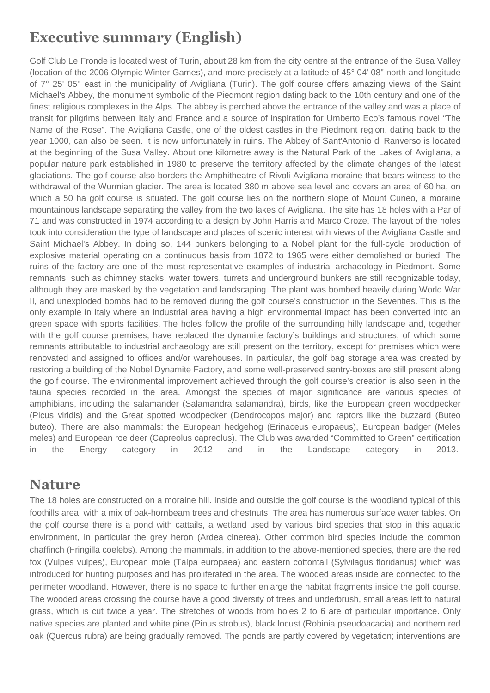## **Executive summary (English)**

Golf Club Le Fronde is located west of Turin, about 28 km from the city centre at the entrance of the Susa Valley (location of the 2006 Olympic Winter Games), and more precisely at a latitude of 45° 04' 08'' north and longitude of 7° 25' 05'' east in the municipality of Avigliana (Turin). The golf course offers amazing views of the Saint Michael's Abbey, the monument symbolic of the Piedmont region dating back to the 10th century and one of the finest religious complexes in the Alps. The abbey is perched above the entrance of the valley and was a place of transit for pilgrims between Italy and France and a source of inspiration for Umberto Eco's famous novel "The Name of the Rose". The Avigliana Castle, one of the oldest castles in the Piedmont region, dating back to the year 1000, can also be seen. It is now unfortunately in ruins. The Abbey of Sant'Antonio di Ranverso is located at the beginning of the Susa Valley. About one kilometre away is the Natural Park of the Lakes of Avigliana, a popular nature park established in 1980 to preserve the territory affected by the climate changes of the latest glaciations. The golf course also borders the Amphitheatre of Rivoli-Avigliana moraine that bears witness to the withdrawal of the Wurmian glacier. The area is located 380 m above sea level and covers an area of 60 ha, on which a 50 ha golf course is situated. The golf course lies on the northern slope of Mount Cuneo, a moraine mountainous landscape separating the valley from the two lakes of Avigliana. The site has 18 holes with a Par of 71 and was constructed in 1974 according to a design by John Harris and Marco Croze. The layout of the holes took into consideration the type of landscape and places of scenic interest with views of the Avigliana Castle and Saint Michael's Abbey. In doing so, 144 bunkers belonging to a Nobel plant for the full-cycle production of explosive material operating on a continuous basis from 1872 to 1965 were either demolished or buried. The ruins of the factory are one of the most representative examples of industrial archaeology in Piedmont. Some remnants, such as chimney stacks, water towers, turrets and underground bunkers are still recognizable today, although they are masked by the vegetation and landscaping. The plant was bombed heavily during World War II, and unexploded bombs had to be removed during the golf course's construction in the Seventies. This is the only example in Italy where an industrial area having a high environmental impact has been converted into an green space with sports facilities. The holes follow the profile of the surrounding hilly landscape and, together with the golf course premises, have replaced the dynamite factory's buildings and structures, of which some remnants attributable to industrial archaeology are still present on the territory, except for premises which were renovated and assigned to offices and/or warehouses. In particular, the golf bag storage area was created by restoring a building of the Nobel Dynamite Factory, and some well-preserved sentry-boxes are still present along the golf course. The environmental improvement achieved through the golf course's creation is also seen in the fauna species recorded in the area. Amongst the species of major significance are various species of amphibians, including the salamander (Salamandra salamandra), birds, like the European green woodpecker (Picus viridis) and the Great spotted woodpecker (Dendrocopos major) and raptors like the buzzard (Buteo buteo). There are also mammals: the European hedgehog (Erinaceus europaeus), European badger (Meles meles) and European roe deer (Capreolus capreolus). The Club was awarded "Committed to Green" certification in the Energy category in 2012 and in the Landscape category in 2013.

#### **Nature**

The 18 holes are constructed on a moraine hill. Inside and outside the golf course is the woodland typical of this foothills area, with a mix of oak-hornbeam trees and chestnuts. The area has numerous surface water tables. On the golf course there is a pond with cattails, a wetland used by various bird species that stop in this aquatic environment, in particular the grey heron (Ardea cinerea). Other common bird species include the common chaffinch (Fringilla coelebs). Among the mammals, in addition to the above-mentioned species, there are the red fox (Vulpes vulpes), European mole (Talpa europaea) and eastern cottontail (Sylvilagus floridanus) which was introduced for hunting purposes and has proliferated in the area. The wooded areas inside are connected to the perimeter woodland. However, there is no space to further enlarge the habitat fragments inside the golf course. The wooded areas crossing the course have a good diversity of trees and underbrush, small areas left to natural grass, which is cut twice a year. The stretches of woods from holes 2 to 6 are of particular importance. Only native species are planted and white pine (Pinus strobus), black locust (Robinia pseudoacacia) and northern red oak (Quercus rubra) are being gradually removed. The ponds are partly covered by vegetation; interventions are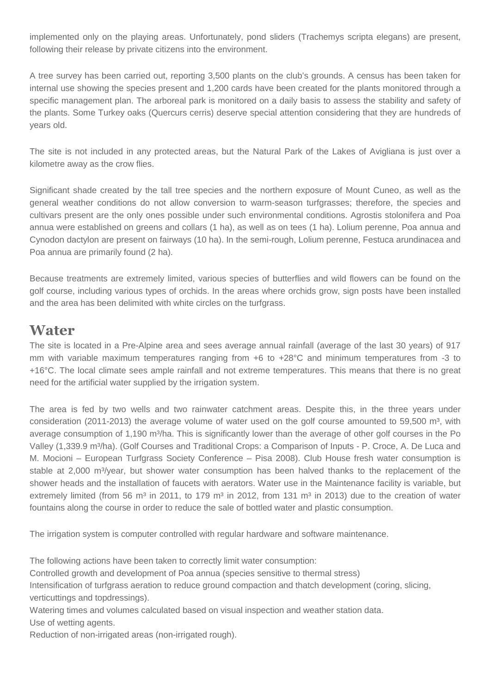implemented only on the playing areas. Unfortunately, pond sliders (Trachemys scripta elegans) are present, following their release by private citizens into the environment.

A tree survey has been carried out, reporting 3,500 plants on the club's grounds. A census has been taken for internal use showing the species present and 1,200 cards have been created for the plants monitored through a specific management plan. The arboreal park is monitored on a daily basis to assess the stability and safety of the plants. Some Turkey oaks (Quercurs cerris) deserve special attention considering that they are hundreds of years old.

The site is not included in any protected areas, but the Natural Park of the Lakes of Avigliana is just over a kilometre away as the crow flies.

Significant shade created by the tall tree species and the northern exposure of Mount Cuneo, as well as the general weather conditions do not allow conversion to warm-season turfgrasses; therefore, the species and cultivars present are the only ones possible under such environmental conditions. Agrostis stolonifera and Poa annua were established on greens and collars (1 ha), as well as on tees (1 ha). Lolium perenne, Poa annua and Cynodon dactylon are present on fairways (10 ha). In the semi-rough, Lolium perenne, Festuca arundinacea and Poa annua are primarily found (2 ha).

Because treatments are extremely limited, various species of butterflies and wild flowers can be found on the golf course, including various types of orchids. In the areas where orchids grow, sign posts have been installed and the area has been delimited with white circles on the turfgrass.

#### **Water**

The site is located in a Pre-Alpine area and sees average annual rainfall (average of the last 30 years) of 917 mm with variable maximum temperatures ranging from +6 to +28°C and minimum temperatures from -3 to +16°C. The local climate sees ample rainfall and not extreme temperatures. This means that there is no great need for the artificial water supplied by the irrigation system.

The area is fed by two wells and two rainwater catchment areas. Despite this, in the three years under consideration (2011-2013) the average volume of water used on the golf course amounted to 59,500 m<sup>3</sup>, with average consumption of 1,190 m<sup>3</sup>/ha. This is significantly lower than the average of other golf courses in the Po Valley (1,339.9 m<sup>3</sup>/ha). (Golf Courses and Traditional Crops: a Comparison of Inputs - P. Croce, A. De Luca and M. Mocioni – European Turfgrass Society Conference – Pisa 2008). Club House fresh water consumption is stable at 2,000 m $\frac{3}{2}$  at shower water consumption has been halved thanks to the replacement of the shower heads and the installation of faucets with aerators. Water use in the Maintenance facility is variable, but extremely limited (from 56 m<sup>3</sup> in 2011, to 179 m<sup>3</sup> in 2012, from 131 m<sup>3</sup> in 2013) due to the creation of water fountains along the course in order to reduce the sale of bottled water and plastic consumption.

The irrigation system is computer controlled with regular hardware and software maintenance.

The following actions have been taken to correctly limit water consumption:

Controlled growth and development of Poa annua (species sensitive to thermal stress)

Intensification of turfgrass aeration to reduce ground compaction and thatch development (coring, slicing, verticuttings and topdressings).

Watering times and volumes calculated based on visual inspection and weather station data. Use of wetting agents.

Reduction of non-irrigated areas (non-irrigated rough).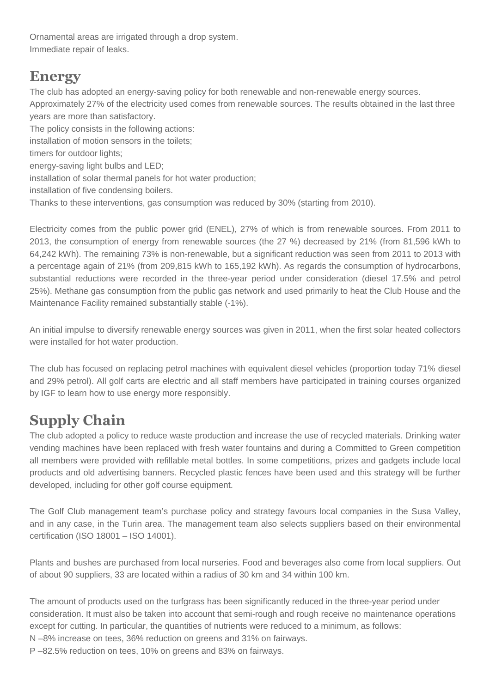Ornamental areas are irrigated through a drop system. Immediate repair of leaks.

#### **Energy**

The club has adopted an energy-saving policy for both renewable and non-renewable energy sources. Approximately 27% of the electricity used comes from renewable sources. The results obtained in the last three years are more than satisfactory.

The policy consists in the following actions: installation of motion sensors in the toilets; timers for outdoor lights; energy-saving light bulbs and LED; installation of solar thermal panels for hot water production; installation of five condensing boilers. Thanks to these interventions, gas consumption was reduced by 30% (starting from 2010).

Electricity comes from the public power grid (ENEL), 27% of which is from renewable sources. From 2011 to 2013, the consumption of energy from renewable sources (the 27 %) decreased by 21% (from 81,596 kWh to 64,242 kWh). The remaining 73% is non-renewable, but a significant reduction was seen from 2011 to 2013 with a percentage again of 21% (from 209,815 kWh to 165,192 kWh). As regards the consumption of hydrocarbons, substantial reductions were recorded in the three-year period under consideration (diesel 17.5% and petrol 25%). Methane gas consumption from the public gas network and used primarily to heat the Club House and the Maintenance Facility remained substantially stable (-1%).

An initial impulse to diversify renewable energy sources was given in 2011, when the first solar heated collectors were installed for hot water production.

The club has focused on replacing petrol machines with equivalent diesel vehicles (proportion today 71% diesel and 29% petrol). All golf carts are electric and all staff members have participated in training courses organized by IGF to learn how to use energy more responsibly.

# **Supply Chain**

The club adopted a policy to reduce waste production and increase the use of recycled materials. Drinking water vending machines have been replaced with fresh water fountains and during a Committed to Green competition all members were provided with refillable metal bottles. In some competitions, prizes and gadgets include local products and old advertising banners. Recycled plastic fences have been used and this strategy will be further developed, including for other golf course equipment.

The Golf Club management team's purchase policy and strategy favours local companies in the Susa Valley, and in any case, in the Turin area. The management team also selects suppliers based on their environmental certification (ISO 18001 – ISO 14001).

Plants and bushes are purchased from local nurseries. Food and beverages also come from local suppliers. Out of about 90 suppliers, 33 are located within a radius of 30 km and 34 within 100 km.

The amount of products used on the turfgrass has been significantly reduced in the three-year period under consideration. It must also be taken into account that semi-rough and rough receive no maintenance operations except for cutting. In particular, the quantities of nutrients were reduced to a minimum, as follows:

N –8% increase on tees, 36% reduction on greens and 31% on fairways.

P –82.5% reduction on tees, 10% on greens and 83% on fairways.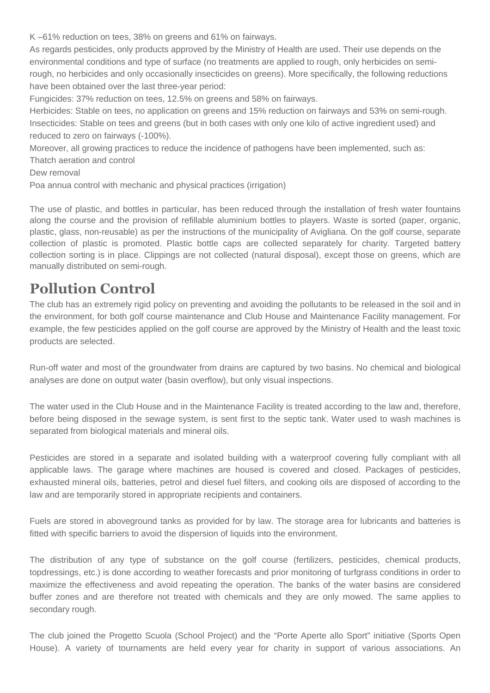K –61% reduction on tees, 38% on greens and 61% on fairways.

As regards pesticides, only products approved by the Ministry of Health are used. Their use depends on the environmental conditions and type of surface (no treatments are applied to rough, only herbicides on semirough, no herbicides and only occasionally insecticides on greens). More specifically, the following reductions have been obtained over the last three-year period:

Fungicides: 37% reduction on tees, 12.5% on greens and 58% on fairways.

Herbicides: Stable on tees, no application on greens and 15% reduction on fairways and 53% on semi-rough. Insecticides: Stable on tees and greens (but in both cases with only one kilo of active ingredient used) and reduced to zero on fairways (-100%).

Moreover, all growing practices to reduce the incidence of pathogens have been implemented, such as:

Thatch aeration and control

Dew removal

Poa annua control with mechanic and physical practices (irrigation)

The use of plastic, and bottles in particular, has been reduced through the installation of fresh water fountains along the course and the provision of refillable aluminium bottles to players. Waste is sorted (paper, organic, plastic, glass, non-reusable) as per the instructions of the municipality of Avigliana. On the golf course, separate collection of plastic is promoted. Plastic bottle caps are collected separately for charity. Targeted battery collection sorting is in place. Clippings are not collected (natural disposal), except those on greens, which are manually distributed on semi-rough.

### **Pollution Control**

The club has an extremely rigid policy on preventing and avoiding the pollutants to be released in the soil and in the environment, for both golf course maintenance and Club House and Maintenance Facility management. For example, the few pesticides applied on the golf course are approved by the Ministry of Health and the least toxic products are selected.

Run-off water and most of the groundwater from drains are captured by two basins. No chemical and biological analyses are done on output water (basin overflow), but only visual inspections.

The water used in the Club House and in the Maintenance Facility is treated according to the law and, therefore, before being disposed in the sewage system, is sent first to the septic tank. Water used to wash machines is separated from biological materials and mineral oils.

Pesticides are stored in a separate and isolated building with a waterproof covering fully compliant with all applicable laws. The garage where machines are housed is covered and closed. Packages of pesticides, exhausted mineral oils, batteries, petrol and diesel fuel filters, and cooking oils are disposed of according to the law and are temporarily stored in appropriate recipients and containers.

Fuels are stored in aboveground tanks as provided for by law. The storage area for lubricants and batteries is fitted with specific barriers to avoid the dispersion of liquids into the environment.

The distribution of any type of substance on the golf course (fertilizers, pesticides, chemical products, topdressings, etc.) is done according to weather forecasts and prior monitoring of turfgrass conditions in order to maximize the effectiveness and avoid repeating the operation. The banks of the water basins are considered buffer zones and are therefore not treated with chemicals and they are only mowed. The same applies to secondary rough.

The club joined the Progetto Scuola (School Project) and the "Porte Aperte allo Sport" initiative (Sports Open House). A variety of tournaments are held every year for charity in support of various associations. An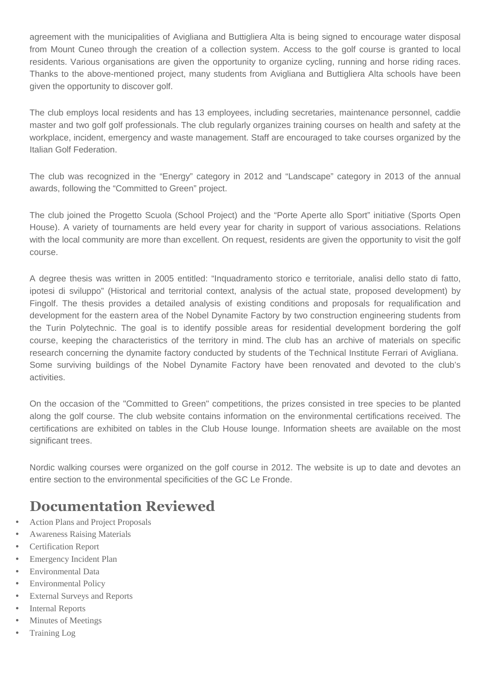agreement with the municipalities of Avigliana and Buttigliera Alta is being signed to encourage water disposal from Mount Cuneo through the creation of a collection system. Access to the golf course is granted to local residents. Various organisations are given the opportunity to organize cycling, running and horse riding races. Thanks to the above-mentioned project, many students from Avigliana and Buttigliera Alta schools have been given the opportunity to discover golf.

The club employs local residents and has 13 employees, including secretaries, maintenance personnel, caddie master and two golf golf professionals. The club regularly organizes training courses on health and safety at the workplace, incident, emergency and waste management. Staff are encouraged to take courses organized by the Italian Golf Federation.

The club was recognized in the "Energy" category in 2012 and "Landscape" category in 2013 of the annual awards, following the "Committed to Green" project.

The club joined the Progetto Scuola (School Project) and the "Porte Aperte allo Sport" initiative (Sports Open House). A variety of tournaments are held every year for charity in support of various associations. Relations with the local community are more than excellent. On request, residents are given the opportunity to visit the golf course.

A degree thesis was written in 2005 entitled: "Inquadramento storico e territoriale, analisi dello stato di fatto, ipotesi di sviluppo" (Historical and territorial context, analysis of the actual state, proposed development) by Fingolf. The thesis provides a detailed analysis of existing conditions and proposals for requalification and development for the eastern area of the Nobel Dynamite Factory by two construction engineering students from the Turin Polytechnic. The goal is to identify possible areas for residential development bordering the golf course, keeping the characteristics of the territory in mind. The club has an archive of materials on specific research concerning the dynamite factory conducted by students of the Technical Institute Ferrari of Avigliana. Some surviving buildings of the Nobel Dynamite Factory have been renovated and devoted to the club's activities.

On the occasion of the "Committed to Green" competitions, the prizes consisted in tree species to be planted along the golf course. The club website contains information on the environmental certifications received. The certifications are exhibited on tables in the Club House lounge. Information sheets are available on the most significant trees.

Nordic walking courses were organized on the golf course in 2012. The website is up to date and devotes an entire section to the environmental specificities of the GC Le Fronde.

## **Documentation Reviewed**

- Action Plans and Project Proposals
- Awareness Raising Materials
- Certification Report
- **Emergency Incident Plan**
- Environmental Data
- Environmental Policy
- **External Surveys and Reports**
- **Internal Reports**
- Minutes of Meetings
- Training Log